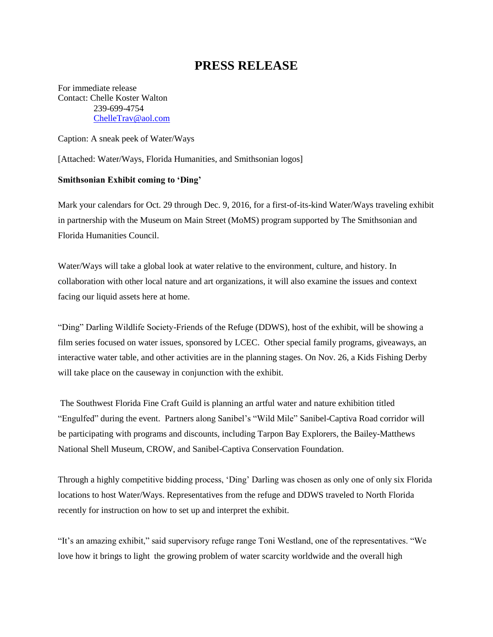## **PRESS RELEASE**

For immediate release Contact: Chelle Koster Walton 239-699-4754 [ChelleTrav@aol.com](mailto:ChelleTrav@aol.com)

Caption: A sneak peek of Water/Ways

[Attached: Water/Ways, Florida Humanities, and Smithsonian logos]

## **Smithsonian Exhibit coming to 'Ding'**

Mark your calendars for Oct. 29 through Dec. 9, 2016, for a first-of-its-kind Water/Ways traveling exhibit in partnership with the Museum on Main Street (MoMS) program supported by The Smithsonian and Florida Humanities Council.

Water/Ways will take a global look at water relative to the environment, culture, and history. In collaboration with other local nature and art organizations, it will also examine the issues and context facing our liquid assets here at home.

"Ding" Darling Wildlife Society-Friends of the Refuge (DDWS), host of the exhibit, will be showing a film series focused on water issues, sponsored by LCEC. Other special family programs, giveaways, an interactive water table, and other activities are in the planning stages. On Nov. 26, a Kids Fishing Derby will take place on the causeway in conjunction with the exhibit.

The Southwest Florida Fine Craft Guild is planning an artful water and nature exhibition titled "Engulfed" during the event. Partners along Sanibel's "Wild Mile" Sanibel-Captiva Road corridor will be participating with programs and discounts, including Tarpon Bay Explorers, the Bailey-Matthews National Shell Museum, CROW, and Sanibel-Captiva Conservation Foundation.

Through a highly competitive bidding process, 'Ding' Darling was chosen as only one of only six Florida locations to host Water/Ways. Representatives from the refuge and DDWS traveled to North Florida recently for instruction on how to set up and interpret the exhibit.

"It's an amazing exhibit," said supervisory refuge range Toni Westland, one of the representatives. "We love how it brings to light the growing problem of water scarcity worldwide and the overall high